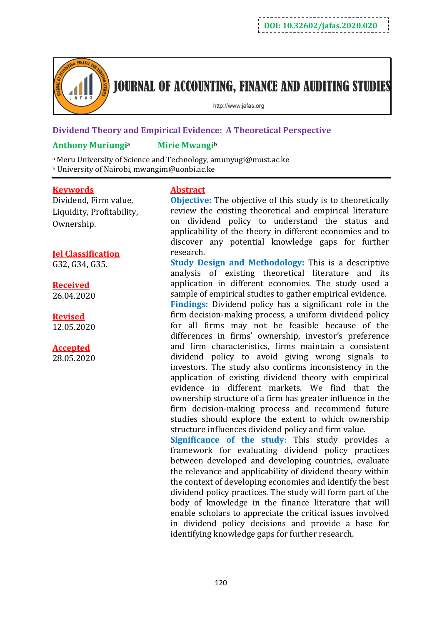

# **JOURNAL OF ACCOUNTING, FINANCE AND AUDITING STUDIES**

http://www.jafas.org

## **Dividend Theory and Empirical Evidence: A Theoretical Perspective**

## **Anthony Muriungi**<sup>a</sup> **Mirie Mwangi**<sup>b</sup>

<sup>a</sup> Meru University of Science and Technology, amunyugi@must.ac.ke <sup>b</sup> University of Nairobi, mwangim@uonbi.ac.ke

#### **Keywords**

Dividend, Firm value, Liquidity, Profitability, Ownership.

## **Jel Classification**

G32, G34, G35.

## **Received**

26.04.2020

## **Revised**

12.05.2020

## **Accepted**

28.05.2020

## **Abstract**

**Objective:** The objective of this study is to theoretically review the existing theoretical and empirical literature on dividend policy to understand the status and applicability of the theory in different economies and to discover any potential knowledge gaps for further research*.*

**Study Design and Methodology:** This is a descriptive analysis of existing theoretical literature and its application in different economies. The study used a sample of empirical studies to gather empirical evidence.

**Findings:** Dividend policy has a significant role in the firm decision-making process, a uniform dividend policy for all firms may not be feasible because of the differences in firms' ownership, investor's preference and firm characteristics, firms maintain a consistent dividend policy to avoid giving wrong signals to investors. The study also confirms inconsistency in the application of existing dividend theory with empirical evidence in different markets. We find that the ownership structure of a firm has greater influence in the firm decision-making process and recommend future studies should explore the extent to which ownership structure influences dividend policy and firm value.

**Significance of the study**: This study provides a framework for evaluating dividend policy practices between developed and developing countries, evaluate the relevance and applicability of dividend theory within the context of developing economies and identify the best dividend policy practices. The study will form part of the body of knowledge in the finance literature that will enable scholars to appreciate the critical issues involved in dividend policy decisions and provide a base for identifying knowledge gaps for further research.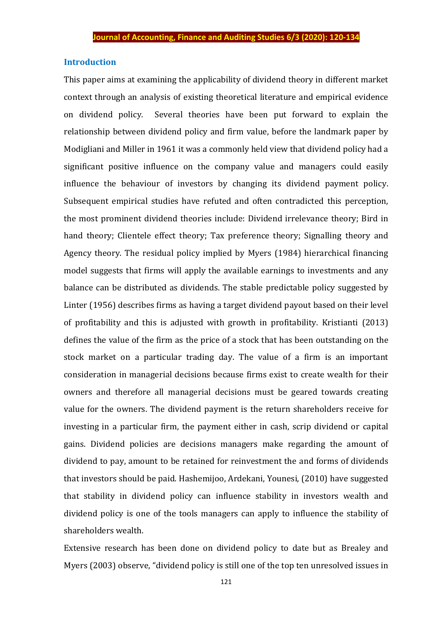#### **Introduction**

This paper aims at examining the applicability of dividend theory in different market context through an analysis of existing theoretical literature and empirical evidence on dividend policy. Several theories have been put forward to explain the relationship between dividend policy and firm value, before the landmark paper by Modigliani and Miller in 1961 it was a commonly held view that dividend policy had a significant positive influence on the company value and managers could easily influence the behaviour of investors by changing its dividend payment policy. Subsequent empirical studies have refuted and often contradicted this perception, the most prominent dividend theories include: Dividend irrelevance theory; Bird in hand theory; Clientele effect theory; Tax preference theory; Signalling theory and Agency theory. The residual policy implied by Myers (1984) hierarchical financing model suggests that firms will apply the available earnings to investments and any balance can be distributed as dividends. The stable predictable policy suggested by Linter (1956) describes firms as having a target dividend payout based on their level of profitability and this is adjusted with growth in profitability. Kristianti (2013) defines the value of the firm as the price of a stock that has been outstanding on the stock market on a particular trading day. The value of a firm is an important consideration in managerial decisions because firms exist to create wealth for their owners and therefore all managerial decisions must be geared towards creating value for the owners. The dividend payment is the return shareholders receive for investing in a particular firm, the payment either in cash, scrip dividend or capital gains. Dividend policies are decisions managers make regarding the amount of dividend to pay, amount to be retained for reinvestment the and forms of dividends that investors should be paid. Hashemijoo, Ardekani, Younesi, (2010) have suggested that stability in dividend policy can influence stability in investors wealth and dividend policy is one of the tools managers can apply to influence the stability of shareholders wealth.

Extensive research has been done on dividend policy to date but as Brealey and Myers (2003) observe, "dividend policy is still one of the top ten unresolved issues in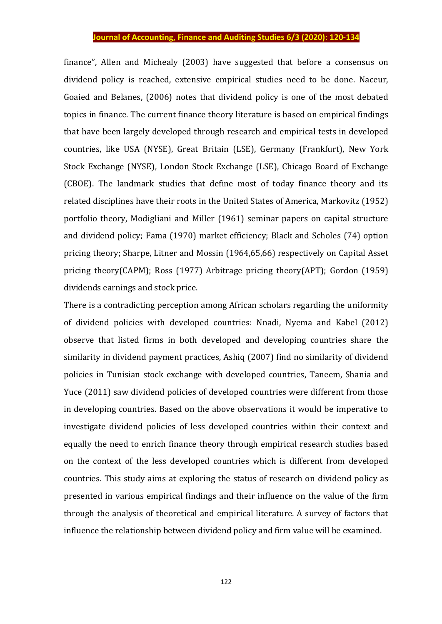finance", Allen and Michealy (2003) have suggested that before a consensus on dividend policy is reached, extensive empirical studies need to be done. Naceur, Goaied and Belanes, (2006) notes that dividend policy is one of the most debated topics in finance. The current finance theory literature is based on empirical findings that have been largely developed through research and empirical tests in developed countries, like USA (NYSE), Great Britain (LSE), Germany (Frankfurt), New York Stock Exchange (NYSE), London Stock Exchange (LSE), Chicago Board of Exchange (CBOE). The landmark studies that define most of today finance theory and its related disciplines have their roots in the United States of America, Markovitz (1952) portfolio theory, Modigliani and Miller (1961) seminar papers on capital structure and dividend policy; Fama (1970) market efficiency; Black and Scholes (74) option pricing theory; Sharpe, Litner and Mossin (1964,65,66) respectively on Capital Asset pricing theory(CAPM); Ross (1977) Arbitrage pricing theory(APT); Gordon (1959) dividends earnings and stock price.

There is a contradicting perception among African scholars regarding the uniformity of dividend policies with developed countries: Nnadi, Nyema and Kabel (2012) observe that listed firms in both developed and developing countries share the similarity in dividend payment practices, Ashiq (2007) find no similarity of dividend policies in Tunisian stock exchange with developed countries, Taneem, Shania and Yuce (2011) saw dividend policies of developed countries were different from those in developing countries. Based on the above observations it would be imperative to investigate dividend policies of less developed countries within their context and equally the need to enrich finance theory through empirical research studies based on the context of the less developed countries which is different from developed countries. This study aims at exploring the status of research on dividend policy as presented in various empirical findings and their influence on the value of the firm through the analysis of theoretical and empirical literature. A survey of factors that influence the relationship between dividend policy and firm value will be examined.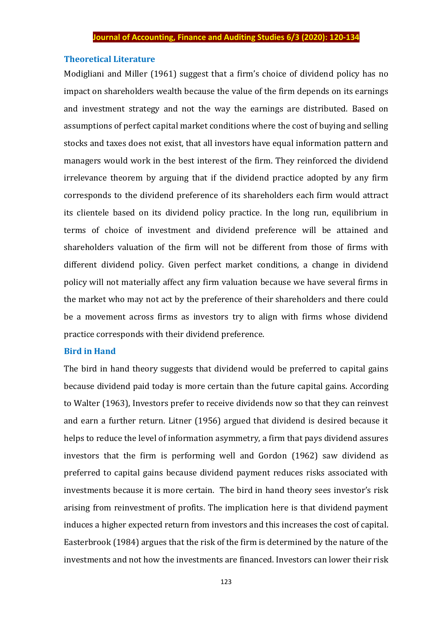## **Theoretical Literature**

Modigliani and Miller (1961) suggest that a firm's choice of dividend policy has no impact on shareholders wealth because the value of the firm depends on its earnings and investment strategy and not the way the earnings are distributed. Based on assumptions of perfect capital market conditions where the cost of buying and selling stocks and taxes does not exist, that all investors have equal information pattern and managers would work in the best interest of the firm. They reinforced the dividend irrelevance theorem by arguing that if the dividend practice adopted by any firm corresponds to the dividend preference of its shareholders each firm would attract its clientele based on its dividend policy practice. In the long run, equilibrium in terms of choice of investment and dividend preference will be attained and shareholders valuation of the firm will not be different from those of firms with different dividend policy. Given perfect market conditions, a change in dividend policy will not materially affect any firm valuation because we have several firms in the market who may not act by the preference of their shareholders and there could be a movement across firms as investors try to align with firms whose dividend practice corresponds with their dividend preference.

#### **Bird in Hand**

The bird in hand theory suggests that dividend would be preferred to capital gains because dividend paid today is more certain than the future capital gains. According to Walter (1963), Investors prefer to receive dividends now so that they can reinvest and earn a further return. Litner (1956) argued that dividend is desired because it helps to reduce the level of information asymmetry, a firm that pays dividend assures investors that the firm is performing well and Gordon (1962) saw dividend as preferred to capital gains because dividend payment reduces risks associated with investments because it is more certain. The bird in hand theory sees investor's risk arising from reinvestment of profits. The implication here is that dividend payment induces a higher expected return from investors and this increases the cost of capital. Easterbrook (1984) argues that the risk of the firm is determined by the nature of the investments and not how the investments are financed. Investors can lower their risk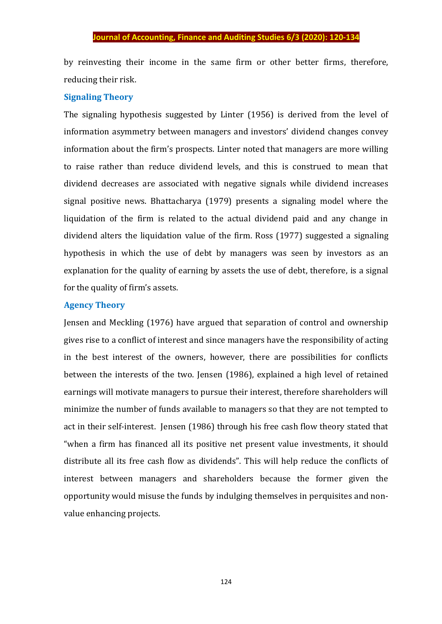by reinvesting their income in the same firm or other better firms, therefore, reducing their risk.

## **Signaling Theory**

The signaling hypothesis suggested by Linter (1956) is derived from the level of information asymmetry between managers and investors' dividend changes convey information about the firm's prospects. Linter noted that managers are more willing to raise rather than reduce dividend levels, and this is construed to mean that dividend decreases are associated with negative signals while dividend increases signal positive news. Bhattacharya (1979) presents a signaling model where the liquidation of the firm is related to the actual dividend paid and any change in dividend alters the liquidation value of the firm. Ross (1977) suggested a signaling hypothesis in which the use of debt by managers was seen by investors as an explanation for the quality of earning by assets the use of debt, therefore, is a signal for the quality of firm's assets.

## **Agency Theory**

Jensen and Meckling (1976) have argued that separation of control and ownership gives rise to a conflict of interest and since managers have the responsibility of acting in the best interest of the owners, however, there are possibilities for conflicts between the interests of the two. Jensen (1986), explained a high level of retained earnings will motivate managers to pursue their interest, therefore shareholders will minimize the number of funds available to managers so that they are not tempted to act in their self-interest. Jensen (1986) through his free cash flow theory stated that "when a firm has financed all its positive net present value investments, it should distribute all its free cash flow as dividends". This will help reduce the conflicts of interest between managers and shareholders because the former given the opportunity would misuse the funds by indulging themselves in perquisites and nonvalue enhancing projects.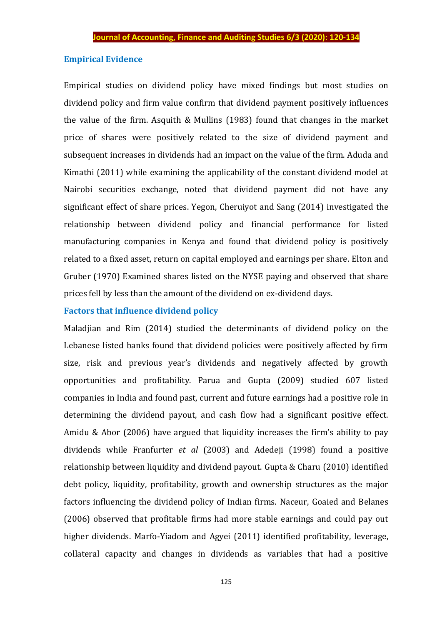## **Empirical Evidence**

Empirical studies on dividend policy have mixed findings but most studies on dividend policy and firm value confirm that dividend payment positively influences the value of the firm. Asquith & Mullins (1983) found that changes in the market price of shares were positively related to the size of dividend payment and subsequent increases in dividends had an impact on the value of the firm. Aduda and Kimathi (2011) while examining the applicability of the constant dividend model at Nairobi securities exchange, noted that dividend payment did not have any significant effect of share prices. Yegon, Cheruiyot and Sang (2014) investigated the relationship between dividend policy and financial performance for listed manufacturing companies in Kenya and found that dividend policy is positively related to a fixed asset, return on capital employed and earnings per share. Elton and Gruber (1970) Examined shares listed on the NYSE paying and observed that share prices fell by less than the amount of the dividend on ex-dividend days.

## **Factors that influence dividend policy**

Maladjian and Rim (2014) studied the determinants of dividend policy on the Lebanese listed banks found that dividend policies were positively affected by firm size, risk and previous year's dividends and negatively affected by growth opportunities and profitability. Parua and Gupta (2009) studied 607 listed companies in India and found past, current and future earnings had a positive role in determining the dividend payout, and cash flow had a significant positive effect. Amidu & Abor (2006) have argued that liquidity increases the firm's ability to pay dividends while Franfurter *et al* (2003) and Adedeji (1998) found a positive relationship between liquidity and dividend payout. Gupta & Charu (2010) identified debt policy, liquidity, profitability, growth and ownership structures as the major factors influencing the dividend policy of Indian firms. Naceur, Goaied and Belanes (2006) observed that profitable firms had more stable earnings and could pay out higher dividends. Marfo-Yiadom and Agyei (2011) identified profitability, leverage, collateral capacity and changes in dividends as variables that had a positive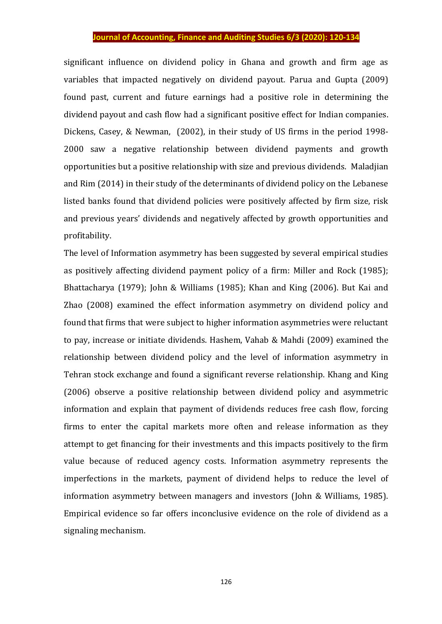significant influence on dividend policy in Ghana and growth and firm age as variables that impacted negatively on dividend payout*.* Parua and Gupta (2009) found past, current and future earnings had a positive role in determining the dividend payout and cash flow had a significant positive effect for Indian companies. Dickens, Casey, & Newman, (2002), in their study of US firms in the period 1998- 2000 saw a negative relationship between dividend payments and growth opportunities but a positive relationship with size and previous dividends. Maladjian and Rim (2014) in their study of the determinants of dividend policy on the Lebanese listed banks found that dividend policies were positively affected by firm size, risk and previous years' dividends and negatively affected by growth opportunities and profitability.

The level of Information asymmetry has been suggested by several empirical studies as positively affecting dividend payment policy of a firm: Miller and Rock (1985); Bhattacharya (1979); John & Williams (1985); Khan and King (2006). But Kai and Zhao (2008) examined the effect information asymmetry on dividend policy and found that firms that were subject to higher information asymmetries were reluctant to pay, increase or initiate dividends. Hashem, Vahab & Mahdi (2009) examined the relationship between dividend policy and the level of information asymmetry in Tehran stock exchange and found a significant reverse relationship. Khang and King (2006) observe a positive relationship between dividend policy and asymmetric information and explain that payment of dividends reduces free cash flow, forcing firms to enter the capital markets more often and release information as they attempt to get financing for their investments and this impacts positively to the firm value because of reduced agency costs. Information asymmetry represents the imperfections in the markets, payment of dividend helps to reduce the level of information asymmetry between managers and investors (John & Williams, 1985). Empirical evidence so far offers inconclusive evidence on the role of dividend as a signaling mechanism.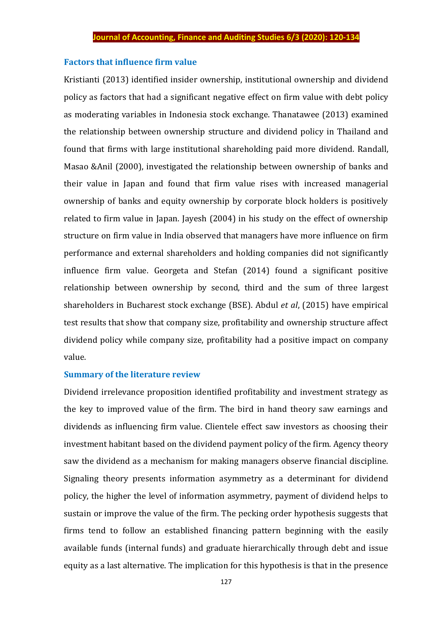#### **Factors that influence firm value**

Kristianti (2013) identified insider ownership, institutional ownership and dividend policy as factors that had a significant negative effect on firm value with debt policy as moderating variables in Indonesia stock exchange. Thanatawee (2013) examined the relationship between ownership structure and dividend policy in Thailand and found that firms with large institutional shareholding paid more dividend. Randall, Masao &Anil (2000), investigated the relationship between ownership of banks and their value in Japan and found that firm value rises with increased managerial ownership of banks and equity ownership by corporate block holders is positively related to firm value in Japan. Jayesh (2004) in his study on the effect of ownership structure on firm value in India observed that managers have more influence on firm performance and external shareholders and holding companies did not significantly influence firm value. Georgeta and Stefan (2014) found a significant positive relationship between ownership by second, third and the sum of three largest shareholders in Bucharest stock exchange (BSE). Abdul *et al*, (2015) have empirical test results that show that company size, profitability and ownership structure affect dividend policy while company size, profitability had a positive impact on company value.

#### **Summary of the literature review**

Dividend irrelevance proposition identified profitability and investment strategy as the key to improved value of the firm. The bird in hand theory saw earnings and dividends as influencing firm value. Clientele effect saw investors as choosing their investment habitant based on the dividend payment policy of the firm. Agency theory saw the dividend as a mechanism for making managers observe financial discipline. Signaling theory presents information asymmetry as a determinant for dividend policy, the higher the level of information asymmetry, payment of dividend helps to sustain or improve the value of the firm. The pecking order hypothesis suggests that firms tend to follow an established financing pattern beginning with the easily available funds (internal funds) and graduate hierarchically through debt and issue equity as a last alternative. The implication for this hypothesis is that in the presence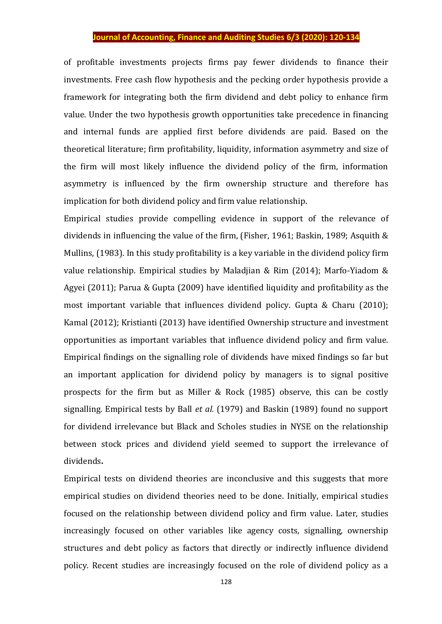of profitable investments projects firms pay fewer dividends to finance their investments. Free cash flow hypothesis and the pecking order hypothesis provide a framework for integrating both the firm dividend and debt policy to enhance firm value. Under the two hypothesis growth opportunities take precedence in financing and internal funds are applied first before dividends are paid. Based on the theoretical literature; firm profitability, liquidity, information asymmetry and size of the firm will most likely influence the dividend policy of the firm, information asymmetry is influenced by the firm ownership structure and therefore has implication for both dividend policy and firm value relationship.

Empirical studies provide compelling evidence in support of the relevance of dividends in influencing the value of the firm, (Fisher, 1961; Baskin, 1989; Asquith & Mullins, (1983). In this study profitability is a key variable in the dividend policy firm value relationship. Empirical studies by Maladjian & Rim (2014); Marfo-Yiadom & Agyei (2011); Parua & Gupta (2009) have identified liquidity and profitability as the most important variable that influences dividend policy. Gupta & Charu (2010); Kamal (2012); Kristianti (2013) have identified Ownership structure and investment opportunities as important variables that influence dividend policy and firm value. Empirical findings on the signalling role of dividends have mixed findings so far but an important application for dividend policy by managers is to signal positive prospects for the firm but as Miller & Rock (1985) observe, this can be costly signalling. Empirical tests by Ball *et al.* (1979) and Baskin (1989) found no support for dividend irrelevance but Black and Scholes studies in NYSE on the relationship between stock prices and dividend yield seemed to support the irrelevance of dividends**.** 

Empirical tests on dividend theories are inconclusive and this suggests that more empirical studies on dividend theories need to be done. Initially, empirical studies focused on the relationship between dividend policy and firm value. Later, studies increasingly focused on other variables like agency costs, signalling, ownership structures and debt policy as factors that directly or indirectly influence dividend policy. Recent studies are increasingly focused on the role of dividend policy as a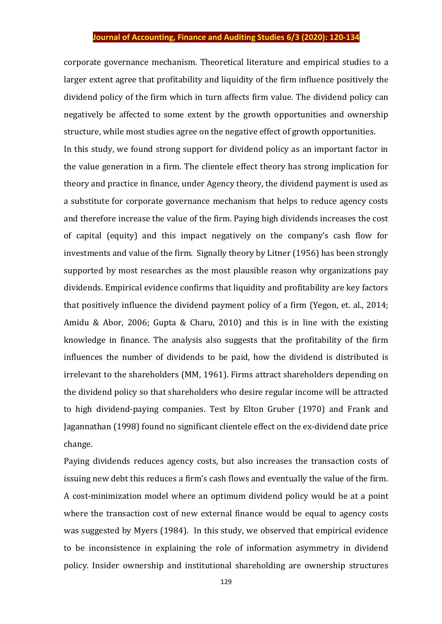corporate governance mechanism. Theoretical literature and empirical studies to a larger extent agree that profitability and liquidity of the firm influence positively the dividend policy of the firm which in turn affects firm value. The dividend policy can negatively be affected to some extent by the growth opportunities and ownership structure, while most studies agree on the negative effect of growth opportunities.

In this study, we found strong support for dividend policy as an important factor in the value generation in a firm. The clientele effect theory has strong implication for theory and practice in finance, under Agency theory, the dividend payment is used as a substitute for corporate governance mechanism that helps to reduce agency costs and therefore increase the value of the firm. Paying high dividends increases the cost of capital (equity) and this impact negatively on the company's cash flow for investments and value of the firm. Signally theory by Litner (1956) has been strongly supported by most researches as the most plausible reason why organizations pay dividends. Empirical evidence confirms that liquidity and profitability are key factors that positively influence the dividend payment policy of a firm (Yegon, et. al., 2014; Amidu & Abor, 2006; Gupta & Charu, 2010) and this is in line with the existing knowledge in finance. The analysis also suggests that the profitability of the firm influences the number of dividends to be paid, how the dividend is distributed is irrelevant to the shareholders (MM, 1961). Firms attract shareholders depending on the dividend policy so that shareholders who desire regular income will be attracted to high dividend-paying companies. Test by Elton Gruber (1970) and Frank and Jagannathan (1998) found no significant clientele effect on the ex-dividend date price change.

Paying dividends reduces agency costs, but also increases the transaction costs of issuing new debt this reduces a firm's cash flows and eventually the value of the firm. A cost-minimization model where an optimum dividend policy would be at a point where the transaction cost of new external finance would be equal to agency costs was suggested by Myers (1984). In this study, we observed that empirical evidence to be inconsistence in explaining the role of information asymmetry in dividend policy. Insider ownership and institutional shareholding are ownership structures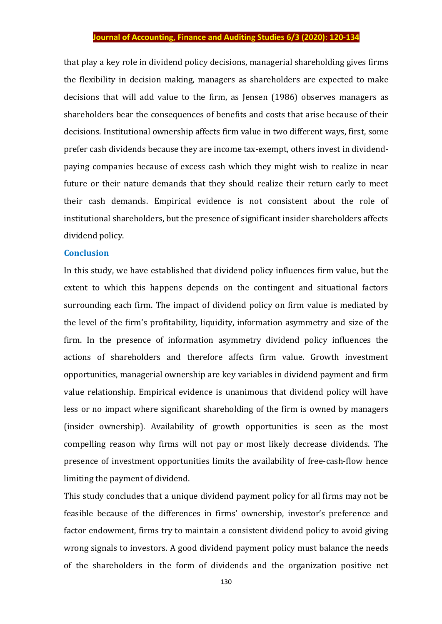that play a key role in dividend policy decisions, managerial shareholding gives firms the flexibility in decision making, managers as shareholders are expected to make decisions that will add value to the firm, as Jensen (1986) observes managers as shareholders bear the consequences of benefits and costs that arise because of their decisions. Institutional ownership affects firm value in two different ways, first, some prefer cash dividends because they are income tax-exempt, others invest in dividendpaying companies because of excess cash which they might wish to realize in near future or their nature demands that they should realize their return early to meet their cash demands. Empirical evidence is not consistent about the role of institutional shareholders, but the presence of significant insider shareholders affects dividend policy.

#### **Conclusion**

In this study, we have established that dividend policy influences firm value, but the extent to which this happens depends on the contingent and situational factors surrounding each firm. The impact of dividend policy on firm value is mediated by the level of the firm's profitability, liquidity, information asymmetry and size of the firm. In the presence of information asymmetry dividend policy influences the actions of shareholders and therefore affects firm value. Growth investment opportunities, managerial ownership are key variables in dividend payment and firm value relationship. Empirical evidence is unanimous that dividend policy will have less or no impact where significant shareholding of the firm is owned by managers (insider ownership). Availability of growth opportunities is seen as the most compelling reason why firms will not pay or most likely decrease dividends. The presence of investment opportunities limits the availability of free-cash-flow hence limiting the payment of dividend.

This study concludes that a unique dividend payment policy for all firms may not be feasible because of the differences in firms' ownership, investor's preference and factor endowment, firms try to maintain a consistent dividend policy to avoid giving wrong signals to investors. A good dividend payment policy must balance the needs of the shareholders in the form of dividends and the organization positive net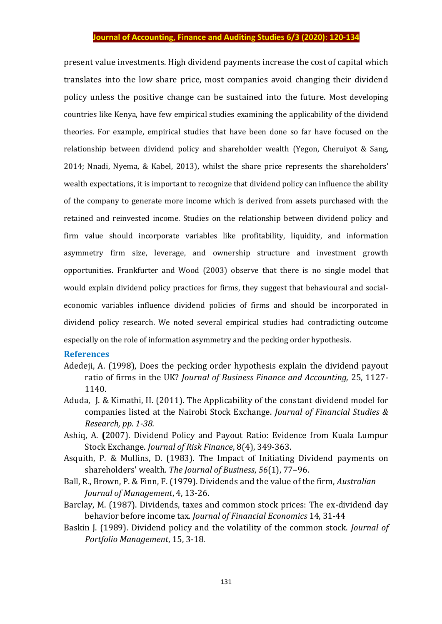present value investments. High dividend payments increase the cost of capital which translates into the low share price, most companies avoid changing their dividend policy unless the positive change can be sustained into the future. Most developing countries like Kenya, have few empirical studies examining the applicability of the dividend theories. For example, empirical studies that have been done so far have focused on the relationship between dividend policy and shareholder wealth (Yegon, Cheruiyot & Sang, 2014; Nnadi, Nyema, & Kabel, 2013), whilst the share price represents the shareholders' wealth expectations, it is important to recognize that dividend policy can influence the ability of the company to generate more income which is derived from assets purchased with the retained and reinvested income. Studies on the relationship between dividend policy and firm value should incorporate variables like profitability, liquidity, and information asymmetry firm size, leverage, and ownership structure and investment growth opportunities. Frankfurter and Wood (2003) observe that there is no single model that would explain dividend policy practices for firms, they suggest that behavioural and socialeconomic variables influence dividend policies of firms and should be incorporated in dividend policy research. We noted several empirical studies had contradicting outcome especially on the role of information asymmetry and the pecking order hypothesis.

#### **References**

- Adedeji, A. (1998), Does the pecking order hypothesis explain the dividend payout ratio of firms in the UK? *Journal of Business Finance and Accounting,* 25, 1127- 1140.
- Aduda, J. & Kimathi, H. (2011). The Applicability of the constant dividend model for companies listed at the Nairobi Stock Exchange. *Journal of Financial Studies & Research, pp. 1-38.*
- Ashiq, A. **(**2007). Dividend Policy and Payout Ratio: Evidence from Kuala Lumpur Stock Exchange. *Journal of Risk Finance*, 8(4), 349-363.
- Asquith, P. & Mullins, D. (1983). The Impact of Initiating Dividend payments on shareholders' wealth. *The Journal of Business*, *56*(1), 77–96.
- Ball, R., Brown, P. & Finn, F. (1979). Dividends and the value of the firm, *Australian Journal of Management*, 4, 13-26.
- Barclay, M. (1987). Dividends, taxes and common stock prices: The ex-dividend day behavior before income tax*. Journal of Financial Economics* 14, 31-44
- Baskin J. (1989). Dividend policy and the volatility of the common stock. *Journal of Portfolio Management*, 15, 3-18.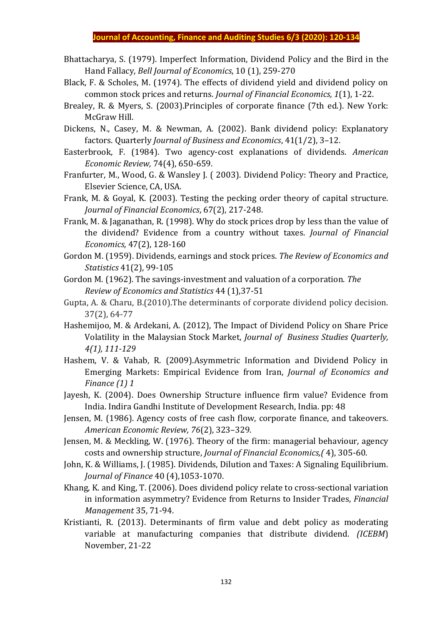- Bhattacharya, S. (1979). Imperfect Information, Dividend Policy and the Bird in the Hand Fallacy, *Bell Journal of Economics*, 10 (1), 259-270
- Black, F. & Scholes, M. (1974). The effects of dividend yield and dividend policy on common stock prices and returns. *Journal of Financial Economics, 1*(1), 1-22.
- Brealey, R. & Myers, S. (2003).Principles of corporate finance (7th ed.). New York: McGraw Hill.
- Dickens, N., Casey, M. & Newman, A. (2002). Bank dividend policy: Explanatory factors. Quarterly *Journal of Business and Economics*, 41(1/2), 3–12.
- Easterbrook, F. (1984). Two agency-cost explanations of dividends. *American Economic Review,* 74(4), 650-659.
- Franfurter, M., Wood, G. & Wansley J. ( 2003). Dividend Policy: Theory and Practice, Elsevier Science, CA, USA.
- Frank, M. & Goyal, K. (2003). Testing the pecking order theory of capital structure. *Journal of Financial Economics*, 67(2), 217-248.
- Frank, M. & Jaganathan, R. (1998). Why do stock prices drop by less than the value of the dividend? Evidence from a country without taxes. *Journal of Financial Economics*, 47(2), 128-160
- Gordon M. (1959). Dividends, earnings and stock prices. *The Review of Economics and Statistics* 41(2), 99-105
- Gordon M. (1962). The savings-investment and valuation of a corporation. *The Review of Economics and Statistics* 44 (1),37-51
- Gupta, A. & Charu, B.(2010).The determinants of corporate dividend policy decision. 37(2), 64-77
- Hashemijoo, M. & Ardekani, A. (2012), The Impact of Dividend Policy on Share Price Volatility in the Malaysian Stock Market, *Journal of Business Studies Quarterly, 4(1), 111-129*
- Hashem, V. & Vahab, R. (2009).Asymmetric Information and Dividend Policy in Emerging Markets: Empirical Evidence from Iran, *Journal of Economics and Finance (1) 1*
- Jayesh, K. (2004). Does Ownership Structure influence firm value? Evidence from India. Indira Gandhi Institute of Development Research, India. pp: 48
- Jensen, M. (1986). Agency costs of free cash flow, corporate finance, and takeovers. *American Economic Review, 76*(2), 323–329.
- Jensen, M. & Meckling, W. (1976). Theory of the firm: managerial behaviour, agency costs and ownership structure, *Journal of Financial Economics,(* 4), 305-60.
- John, K. & Williams, J. (1985). Dividends, Dilution and Taxes: A Signaling Equilibrium. *Journal of Finance* 40 (4),1053-1070.
- Khang, K. and King, T. (2006). Does dividend policy relate to cross-sectional variation in information asymmetry? Evidence from Returns to Insider Trades, *Financial Management* 35, 71-94.
- Kristianti, R. (2013). Determinants of firm value and debt policy as moderating variable at manufacturing companies that distribute dividend. *(ICEBM*) November, 21-22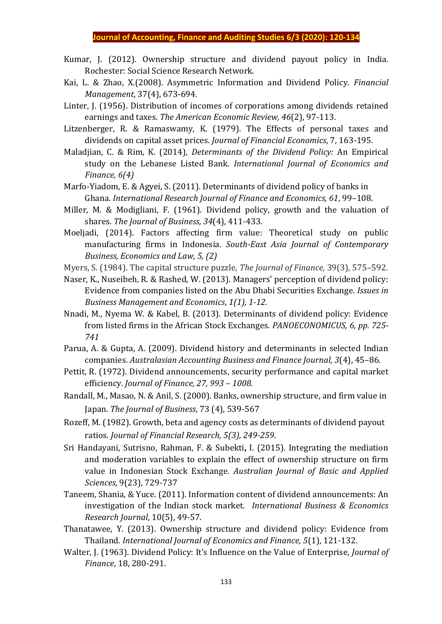- Kumar, J. (2012). Ownership structure and dividend payout policy in India. Rochester: Social Science Research Network.
- Kai, L. & Zhao, X.(2008). Asymmetric Information and Dividend Policy. *Financial Management*, 37(4), 673-694.
- Linter, J. (1956). Distribution of incomes of corporations among dividends retained earnings and taxes. *The American Economic Review, 46*(2), 97-113.
- Litzenberger, R. & Ramaswamy, K. (1979). The Effects of personal taxes and dividends on capital asset prices. *Journal of Financial Economics*, 7, 163-195.
- Maladjian, C. & Rim, K. (2014), *Determinants of the Dividend Policy:* An Empirical study on the Lebanese Listed Bank. *International Journal of Economics and Finance, 6(4)*
- Marfo-Yiadom, E. & Agyei, S. (2011). Determinants of dividend policy of banks in Ghana. *International Research Journal of Finance and Economics, 61*, 99–108.
- Miller, M. & Modigliani, F. (1961). Dividend policy, growth and the valuation of shares. *The Journal of Business, 34*(4), 411-433.
- Moeljadi, (2014). Factors affecting firm value: Theoretical study on public manufacturing firms in Indonesia. *South-East Asia Journal of Contemporary Business, Economics and Law, 5, (2)*
- Myers, S. (1984). The capital structure puzzle, *The Journal of Finance,* 39(3), 575–592.
- Naser, K., Nuseibeh, R. & Rashed, W. (2013). Managers' perception of dividend policy: Evidence from companies listed on the Abu Dhabi Securities Exchange. *Issues in Business Management and Economics*, *1(1), 1-12.*
- Nnadi, M., Nyema W. & Kabel, B. (2013). Determinants of dividend policy: Evidence from listed firms in the African Stock Exchanges. *PANOECONOMICUS, 6, pp. 725- 741*
- Parua, A. & Gupta, A. (2009). Dividend history and determinants in selected Indian companies. *Australasian Accounting Business and Finance Journal, 3*(4), 45–86.
- Pettit, R. (1972). Dividend announcements, security performance and capital market efficiency. *Journal of Finance, 27, 993 – 1008.*
- Randall, M., Masao, N. & Anil, S. (2000). Banks, ownership structure, and firm value in Japan. *The Journal of Business*, 73 (4), 539-567
- Rozeff, M. (1982). Growth, beta and agency costs as determinants of dividend payout ratios. *Journal of Financial Research, 5(3), 249-259*.
- Sri Handayani, Sutrisno, Rahman, F. & Subekti**,** I. (2015). Integrating the mediation and moderation variables to explain the effect of ownership structure on firm value in Indonesian Stock Exchange. *Australian Journal of Basic and Applied Sciences*, 9(23), 729-737
- Taneem, Shania, & Yuce. (2011). Information content of dividend announcements: An investigation of the Indian stock market. *International Business & Economics Research Journal*, 10(5), 49-57.
- Thanatawee, Y. (2013). Ownership structure and dividend policy: Evidence from Thailand. *International Journal of Economics and Finance, 5*(1), 121-132.
- Walter, J. (1963). Dividend Policy: It's Influence on the Value of Enterprise, *Journal of Finance*, 18, 280-291.